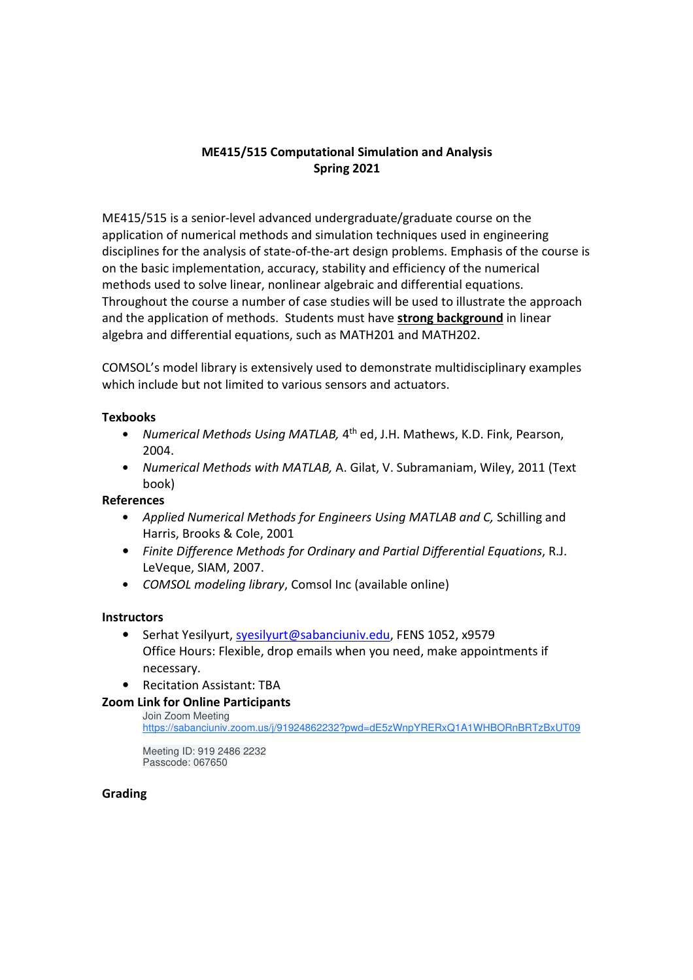# **ME415/515 Computational Simulation and Analysis Spring 2021**

ME415/515 is a senior-level advanced undergraduate/graduate course on the application of numerical methods and simulation techniques used in engineering disciplines for the analysis of state-of-the-art design problems. Emphasis of the course is on the basic implementation, accuracy, stability and efficiency of the numerical methods used to solve linear, nonlinear algebraic and differential equations. Throughout the course a number of case studies will be used to illustrate the approach and the application of methods. Students must have **strong background** in linear algebra and differential equations, such as MATH201 and MATH202.

COMSOL's model library is extensively used to demonstrate multidisciplinary examples which include but not limited to various sensors and actuators.

### **Texbooks**

- *Numerical Methods Using MATLAB,* 4<sup>th</sup> ed, J.H. Mathews, K.D. Fink, Pearson, 2004.
- *Numerical Methods with MATLAB,* A. Gilat, V. Subramaniam, Wiley, 2011 (Text book)

## **References**

- *Applied Numerical Methods for Engineers Using MATLAB and C,* Schilling and Harris, Brooks & Cole, 2001
- *Finite Difference Methods for Ordinary and Partial Differential Equations*, R.J. LeVeque, SIAM, 2007.
- *COMSOL modeling library*, Comsol Inc (available online)

#### **Instructors**

- Serhat Yesilyurt, syesilyurt@sabanciuniv.edu, FENS 1052, x9579 Office Hours: Flexible, drop emails when you need, make appointments if necessary.
- Recitation Assistant: TBA

## **Zoom Link for Online Participants**

Join Zoom Meeting https://sabanciuniv.zoom.us/j/91924862232?pwd=dE5zWnpYRERxQ1A1WHBORnBRTzBxUT09

Meeting ID: 919 2486 2232 Passcode: 067650

#### **Grading**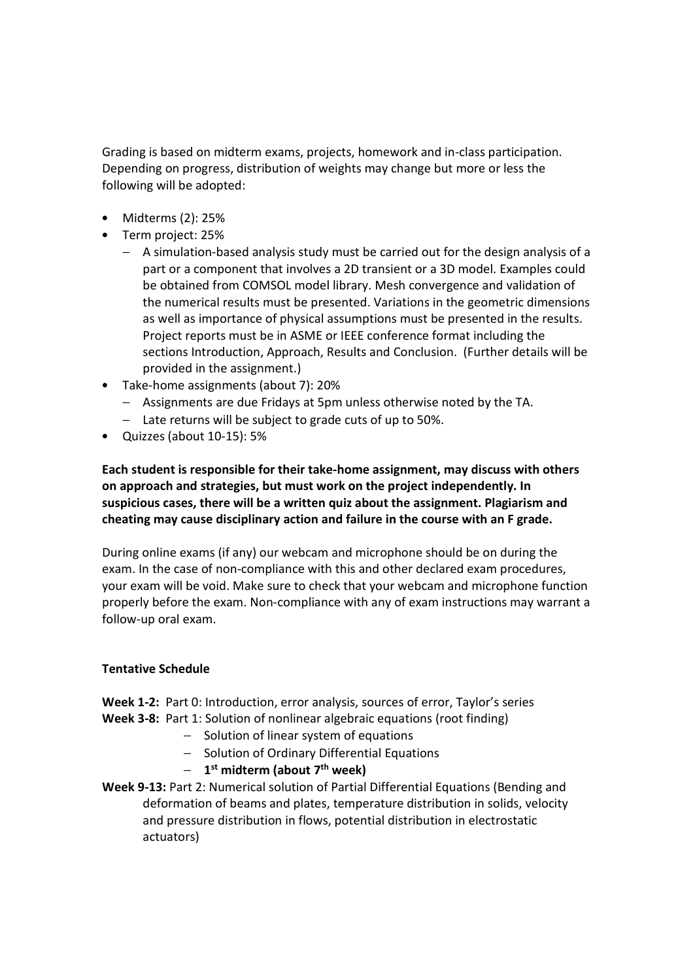Grading is based on midterm exams, projects, homework and in-class participation. Depending on progress, distribution of weights may change but more or less the following will be adopted:

- Midterms (2): 25%
- Term project: 25%
	- − A simulation-based analysis study must be carried out for the design analysis of a part or a component that involves a 2D transient or a 3D model. Examples could be obtained from COMSOL model library. Mesh convergence and validation of the numerical results must be presented. Variations in the geometric dimensions as well as importance of physical assumptions must be presented in the results. Project reports must be in ASME or IEEE conference format including the sections Introduction, Approach, Results and Conclusion. (Further details will be provided in the assignment.)
- Take-home assignments (about 7): 20%
	- − Assignments are due Fridays at 5pm unless otherwise noted by the TA.
	- − Late returns will be subject to grade cuts of up to 50%.
- Quizzes (about 10-15): 5%

**Each student is responsible for their take-home assignment, may discuss with others on approach and strategies, but must work on the project independently. In suspicious cases, there will be a written quiz about the assignment. Plagiarism and cheating may cause disciplinary action and failure in the course with an F grade.** 

During online exams (if any) our webcam and microphone should be on during the exam. In the case of non-compliance with this and other declared exam procedures, your exam will be void. Make sure to check that your webcam and microphone function properly before the exam. Non-compliance with any of exam instructions may warrant a follow-up oral exam.

## **Tentative Schedule**

**Week 1-2:** Part 0: Introduction, error analysis, sources of error, Taylor's series **Week 3-8:** Part 1: Solution of nonlinear algebraic equations (root finding)

- − Solution of linear system of equations
- − Solution of Ordinary Differential Equations
- − **1 st midterm (about 7th week)**
- **Week 9-13:** Part 2: Numerical solution of Partial Differential Equations (Bending and deformation of beams and plates, temperature distribution in solids, velocity and pressure distribution in flows, potential distribution in electrostatic actuators)